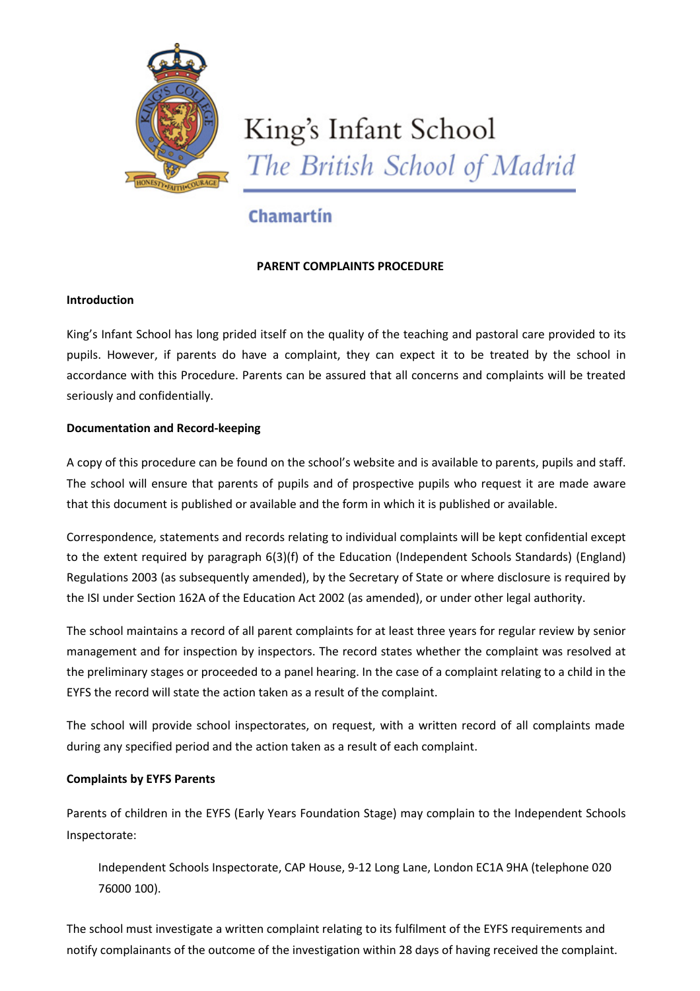

# King's Infant School The British School of Madrid

# Chamartín

# **PARENT COMPLAINTS PROCEDURE**

# **Introduction**

King's Infant School has long prided itself on the quality of the teaching and pastoral care provided to its pupils. However, if parents do have a complaint, they can expect it to be treated by the school in accordance with this Procedure. Parents can be assured that all concerns and complaints will be treated seriously and confidentially.

# **Documentation and Record‐keeping**

A copy of this procedure can be found on the school's website and is available to parents, pupils and staff. The school will ensure that parents of pupils and of prospective pupils who request it are made aware that this document is published or available and the form in which it is published or available.

Correspondence, statements and records relating to individual complaints will be kept confidential except to the extent required by paragraph 6(3)(f) of the Education (Independent Schools Standards) (England) Regulations 2003 (as subsequently amended), by the Secretary of State or where disclosure is required by the ISI under Section 162A of the Education Act 2002 (as amended), or under other legal authority.

The school maintains a record of all parent complaints for at least three years for regular review by senior management and for inspection by inspectors. The record states whether the complaint was resolved at the preliminary stages or proceeded to a panel hearing. In the case of a complaint relating to a child in the EYFS the record will state the action taken as a result of the complaint.

The school will provide school inspectorates, on request, with a written record of all complaints made during any specified period and the action taken as a result of each complaint.

# **Complaints by EYFS Parents**

Parents of children in the EYFS (Early Years Foundation Stage) may complain to the Independent Schools Inspectorate:

Independent Schools Inspectorate, CAP House, 9‐12 Long Lane, London EC1A 9HA (telephone 020 76000 100).

The school must investigate a written complaint relating to its fulfilment of the EYFS requirements and notify complainants of the outcome of the investigation within 28 days of having received the complaint.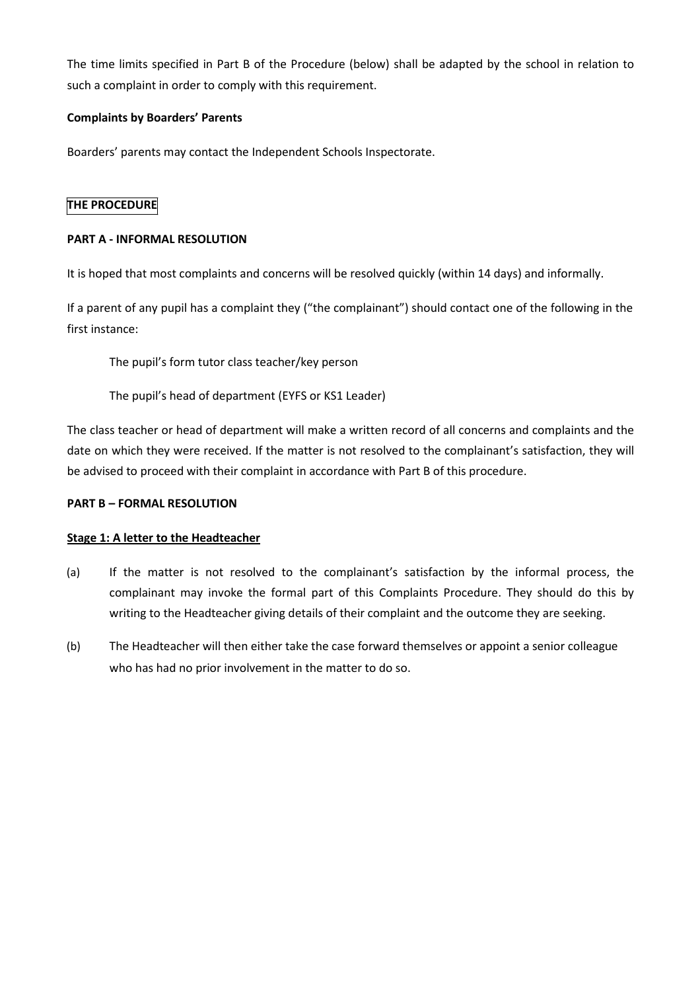The time limits specified in Part B of the Procedure (below) shall be adapted by the school in relation to such a complaint in order to comply with this requirement.

### **Complaints by Boarders' Parents**

Boarders' parents may contact the Independent Schools Inspectorate.

#### **THE PROCEDURE**

#### **PART A ‐ INFORMAL RESOLUTION**

It is hoped that most complaints and concerns will be resolved quickly (within 14 days) and informally.

If a parent of any pupil has a complaint they ("the complainant") should contact one of the following in the first instance:

The pupil's form tutor class teacher/key person

The pupil's head of department (EYFS or KS1 Leader)

The class teacher or head of department will make a written record of all concerns and complaints and the date on which they were received. If the matter is not resolved to the complainant's satisfaction, they will be advised to proceed with their complaint in accordance with Part B of this procedure.

#### **PART B – FORMAL RESOLUTION**

#### **Stage 1: A letter to the Headteacher**

- (a) If the matter is not resolved to the complainant's satisfaction by the informal process, the complainant may invoke the formal part of this Complaints Procedure. They should do this by writing to the Headteacher giving details of their complaint and the outcome they are seeking.
- (b) The Headteacher will then either take the case forward themselves or appoint a senior colleague who has had no prior involvement in the matter to do so.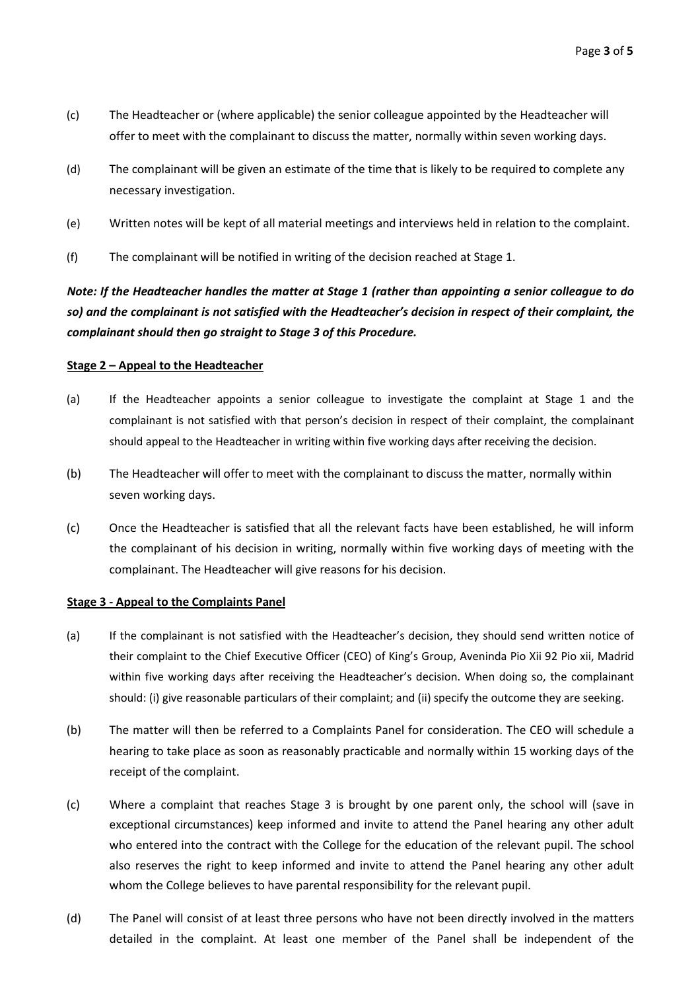- (c) The Headteacher or (where applicable) the senior colleague appointed by the Headteacher will offer to meet with the complainant to discuss the matter, normally within seven working days.
- (d) The complainant will be given an estimate of the time that is likely to be required to complete any necessary investigation.
- (e) Written notes will be kept of all material meetings and interviews held in relation to the complaint.
- (f) The complainant will be notified in writing of the decision reached at Stage 1.

*Note: If the Headteacher handles the matter at Stage 1 (rather than appointing a senior colleague to do so) and the complainant is not satisfied with the Headteacher's decision in respect of their complaint, the complainant should then go straight to Stage 3 of this Procedure.*

#### **Stage 2 – Appeal to the Headteacher**

- (a) If the Headteacher appoints a senior colleague to investigate the complaint at Stage 1 and the complainant is not satisfied with that person's decision in respect of their complaint, the complainant should appeal to the Headteacher in writing within five working days after receiving the decision.
- (b) The Headteacher will offer to meet with the complainant to discuss the matter, normally within seven working days.
- (c) Once the Headteacher is satisfied that all the relevant facts have been established, he will inform the complainant of his decision in writing, normally within five working days of meeting with the complainant. The Headteacher will give reasons for his decision.

#### **Stage 3 ‐ Appeal to the Complaints Panel**

- (a) If the complainant is not satisfied with the Headteacher's decision, they should send written notice of their complaint to the Chief Executive Officer (CEO) of King's Group, Aveninda Pio Xii 92 Pio xii, Madrid within five working days after receiving the Headteacher's decision. When doing so, the complainant should: (i) give reasonable particulars of their complaint; and (ii) specify the outcome they are seeking.
- (b) The matter will then be referred to a Complaints Panel for consideration. The CEO will schedule a hearing to take place as soon as reasonably practicable and normally within 15 working days of the receipt of the complaint.
- (c) Where a complaint that reaches Stage 3 is brought by one parent only, the school will (save in exceptional circumstances) keep informed and invite to attend the Panel hearing any other adult who entered into the contract with the College for the education of the relevant pupil. The school also reserves the right to keep informed and invite to attend the Panel hearing any other adult whom the College believes to have parental responsibility for the relevant pupil.
- (d) The Panel will consist of at least three persons who have not been directly involved in the matters detailed in the complaint. At least one member of the Panel shall be independent of the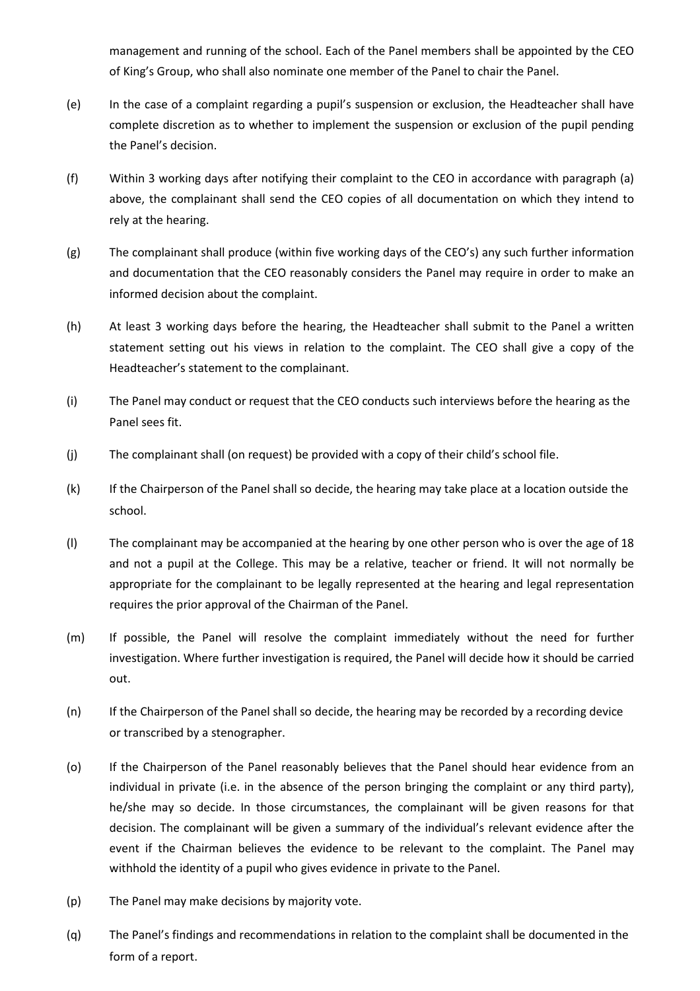management and running of the school. Each of the Panel members shall be appointed by the CEO of King's Group, who shall also nominate one member of the Panel to chair the Panel.

- (e) In the case of a complaint regarding a pupil's suspension or exclusion, the Headteacher shall have complete discretion as to whether to implement the suspension or exclusion of the pupil pending the Panel's decision.
- (f) Within 3 working days after notifying their complaint to the CEO in accordance with paragraph (a) above, the complainant shall send the CEO copies of all documentation on which they intend to rely at the hearing.
- (g) The complainant shall produce (within five working days of the CEO's) any such further information and documentation that the CEO reasonably considers the Panel may require in order to make an informed decision about the complaint.
- (h) At least 3 working days before the hearing, the Headteacher shall submit to the Panel a written statement setting out his views in relation to the complaint. The CEO shall give a copy of the Headteacher's statement to the complainant.
- (i) The Panel may conduct or request that the CEO conducts such interviews before the hearing as the Panel sees fit.
- (j) The complainant shall (on request) be provided with a copy of their child's school file.
- (k) If the Chairperson of the Panel shall so decide, the hearing may take place at a location outside the school.
- (l) The complainant may be accompanied at the hearing by one other person who is over the age of 18 and not a pupil at the College. This may be a relative, teacher or friend. It will not normally be appropriate for the complainant to be legally represented at the hearing and legal representation requires the prior approval of the Chairman of the Panel.
- (m) If possible, the Panel will resolve the complaint immediately without the need for further investigation. Where further investigation is required, the Panel will decide how it should be carried out.
- (n) If the Chairperson of the Panel shall so decide, the hearing may be recorded by a recording device or transcribed by a stenographer.
- (o) If the Chairperson of the Panel reasonably believes that the Panel should hear evidence from an individual in private (i.e. in the absence of the person bringing the complaint or any third party), he/she may so decide. In those circumstances, the complainant will be given reasons for that decision. The complainant will be given a summary of the individual's relevant evidence after the event if the Chairman believes the evidence to be relevant to the complaint. The Panel may withhold the identity of a pupil who gives evidence in private to the Panel.
- (p) The Panel may make decisions by majority vote.
- (q) The Panel's findings and recommendations in relation to the complaint shall be documented in the form of a report.